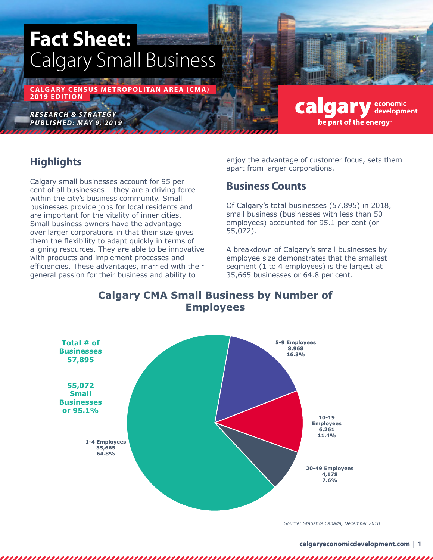# **Fact Sheet:** Calgary Small Business

**CALGARY CENSUS METROPOLITAN AREA (CMA) 2019 EDITION**

*RESEARCH & STRATEGY PUBLISHED: MAY 9, 2019*

#### **calgary** developmic development be part of the energy

# **Highlights**

Calgary small businesses account for 95 per cent of all businesses – they are a driving force within the city's business community. Small businesses provide jobs for local residents and are important for the vitality of inner cities. Small business owners have the advantage over larger corporations in that their size gives them the flexibility to adapt quickly in terms of aligning resources. They are able to be innovative with products and implement processes and efficiencies. These advantages, married with their general passion for their business and ability to

enjoy the advantage of customer focus, sets them apart from larger corporations.

# **Business Counts**

Of Calgary's total businesses (57,895) in 2018, small business (businesses with less than 50 employees) accounted for 95.1 per cent (or 55,072).

A breakdown of Calgary's small businesses by employee size demonstrates that the smallest segment (1 to 4 employees) is the largest at 35,665 businesses or 64.8 per cent.

**Calgary CMA Small Business by Number of Employees**



*Source: Statistics Canada, December 2018*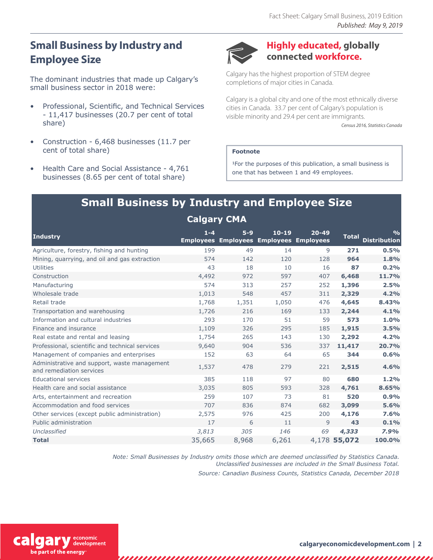# **Small Business by Industry and Employee Size**

The dominant industries that made up Calgary's small business sector in 2018 were:

- Professional, Scientific, and Technical Services - 11,417 businesses (20.7 per cent of total share)
- Construction 6,468 businesses (11.7 per cent of total share)
- Health Care and Social Assistance 4,761 businesses (8.65 per cent of total share)



#### **Highly educated, globally connected workforce.**

Calgary has the highest proportion of STEM degree completions of major cities in Canada.

Calgary is a global city and one of the most ethnically diverse cities in Canada. 33.7 per cent of Calgary's population is visible minority and 29.4 per cent are immigrants.

*Census 2016, Statistics Canada*

#### **Footnote**

1For the purposes of this publication, a small business is one that has between 1 and 49 employees.

# **Small Business by Industry and Employee Size Calgary CMA**

| <b>Industry</b>                                                          | $1 - 4$ | $5-9$<br><b>Employees Employees Employees Employees</b> | $10 - 19$ | $20 - 49$ | <b>Total</b> | $\frac{0}{0}$<br><b>Distribution</b> |
|--------------------------------------------------------------------------|---------|---------------------------------------------------------|-----------|-----------|--------------|--------------------------------------|
| Agriculture, forestry, fishing and hunting                               | 199     | 49                                                      | 14        | 9         | 271          | 0.5%                                 |
| Mining, guarrying, and oil and gas extraction                            | 574     | 142                                                     | 120       | 128       | 964          | 1.8%                                 |
| <b>Utilities</b>                                                         | 43      | 18                                                      | 10        | 16        | 87           | 0.2%                                 |
| Construction                                                             | 4,492   | 972                                                     | 597       | 407       | 6,468        | 11.7%                                |
| Manufacturing                                                            | 574     | 313                                                     | 257       | 252       | 1,396        | 2.5%                                 |
| Wholesale trade                                                          | 1,013   | 548                                                     | 457       | 311       | 2,329        | 4.2%                                 |
| Retail trade                                                             | 1,768   | 1,351                                                   | 1,050     | 476       | 4,645        | 8.43%                                |
| Transportation and warehousing                                           | 1,726   | 216                                                     | 169       | 133       | 2,244        | 4.1%                                 |
| Information and cultural industries                                      | 293     | 170                                                     | 51        | 59        | 573          | 1.0%                                 |
| Finance and insurance                                                    | 1,109   | 326                                                     | 295       | 185       | 1,915        | 3.5%                                 |
| Real estate and rental and leasing                                       | 1,754   | 265                                                     | 143       | 130       | 2,292        | 4.2%                                 |
| Professional, scientific and technical services                          | 9,640   | 904                                                     | 536       | 337       | 11,417       | 20.7%                                |
| Management of companies and enterprises                                  | 152     | 63                                                      | 64        | 65        | 344          | 0.6%                                 |
| Administrative and support, waste management<br>and remediation services | 1,537   | 478                                                     | 279       | 221       | 2,515        | 4.6%                                 |
| <b>Educational services</b>                                              | 385     | 118                                                     | 97        | 80        | 680          | 1.2%                                 |
| Health care and social assistance                                        | 3,035   | 805                                                     | 593       | 328       | 4,761        | 8.65%                                |
| Arts, entertainment and recreation                                       | 259     | 107                                                     | 73        | 81        | 520          | 0.9%                                 |
| Accommodation and food services                                          | 707     | 836                                                     | 874       | 682       | 3,099        | 5.6%                                 |
| Other services (except public administration)                            | 2,575   | 976                                                     | 425       | 200       | 4,176        | 7.6%                                 |
| Public administration                                                    | 17      | 6                                                       | 11        | 9         | 43           | 0.1%                                 |
| Unclassified                                                             | 3,813   | 305                                                     | 146       | 69        | 4,333        | 7.9%                                 |
| <b>Total</b>                                                             | 35,665  | 8,968                                                   | 6,261     |           | 4,178 55,072 | 100.0%                               |

*Note: Small Businesses by Industry omits those which are deemed unclassified by Statistics Canada. Unclassified businesses are included in the Small Business Total.*

*Source: Canadian Business Counts, Statistics Canada, December 2018*



,,,,,,,,,,,,,,,,

,,,,,,,,,,,,,,,,,,,,,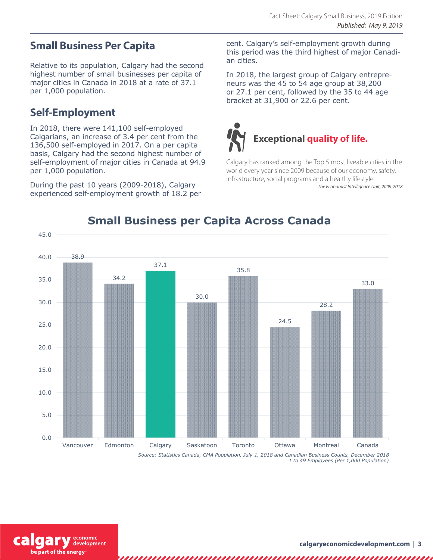### **Small Business Per Capita**

Relative to its population, Calgary had the second highest number of small businesses per capita of major cities in Canada in 2018 at a rate of 37.1 per 1,000 population.

### **Self-Employment**

In 2018, there were 141,100 self-employed Calgarians, an increase of 3.4 per cent from the 136,500 self-employed in 2017. On a per capita basis, Calgary had the second highest number of self-employment of major cities in Canada at 94.9 per 1,000 population.

During the past 10 years (2009-2018), Calgary experienced self-employment growth of 18.2 per cent. Calgary's self-employment growth during this period was the third highest of major Canadian cities.

In 2018, the largest group of Calgary entrepreneurs was the 45 to 54 age group at 38,200 or 27.1 per cent, followed by the 35 to 44 age bracket at 31,900 or 22.6 per cent.



Calgary has ranked among the Top 5 most liveable cities in the world every year since 2009 because of our economy, safety, infrastructure, social programs and a healthy lifestyle. *The Economist Intelligence Unit, 2009-2018*



# **Small Business per Capita Across Canada**

*1 to 49 Employees (Per 1,000 Population)* 

development be part of the energy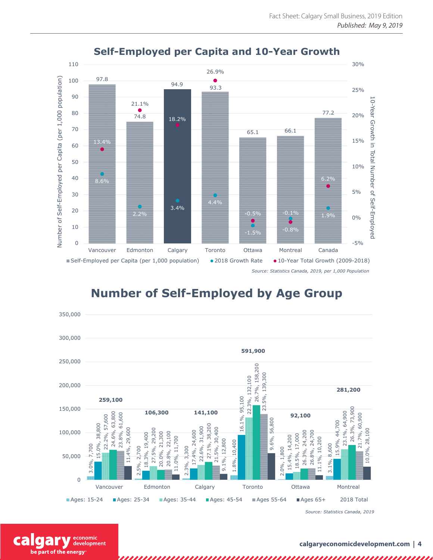

#### **Self-Employed per Capita and 10-Year Growth**

**Number of Self-Employed by Age Group**



:onomic development

cal

be part of the energy

**calgaryeconomicdevelopment.com | 4**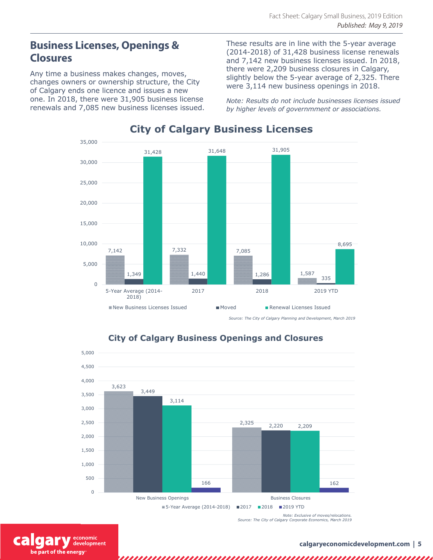### **Business Licenses, Openings & Closures**

Any time a business makes changes, moves, changes owners or ownership structure, the City of Calgary ends one licence and issues a new one. In 2018, there were 31,905 business license renewals and 7,085 new business licenses issued. These results are in line with the 5-year average (2014-2018) of 31,428 business license renewals and 7,142 new business licenses issued. In 2018, there were 2,209 business closures in Calgary, slightly below the 5-year average of 2,325. There were 3,114 new business openings in 2018.

*Note: Results do not include businesses licenses issued by higher levels of governmment or associations.*



#### **City of Calgary Business Licenses**

*Source: The City of Calgary Planning and Development, March 2019*



,,,,,,,,,,,,,,,,,,,,,,,,,,,

#### **City of Calgary Business Openings and Closures**

:onomic development be part of the energy

,,,,,,,,,,,,,,,,,,,,,,,,,